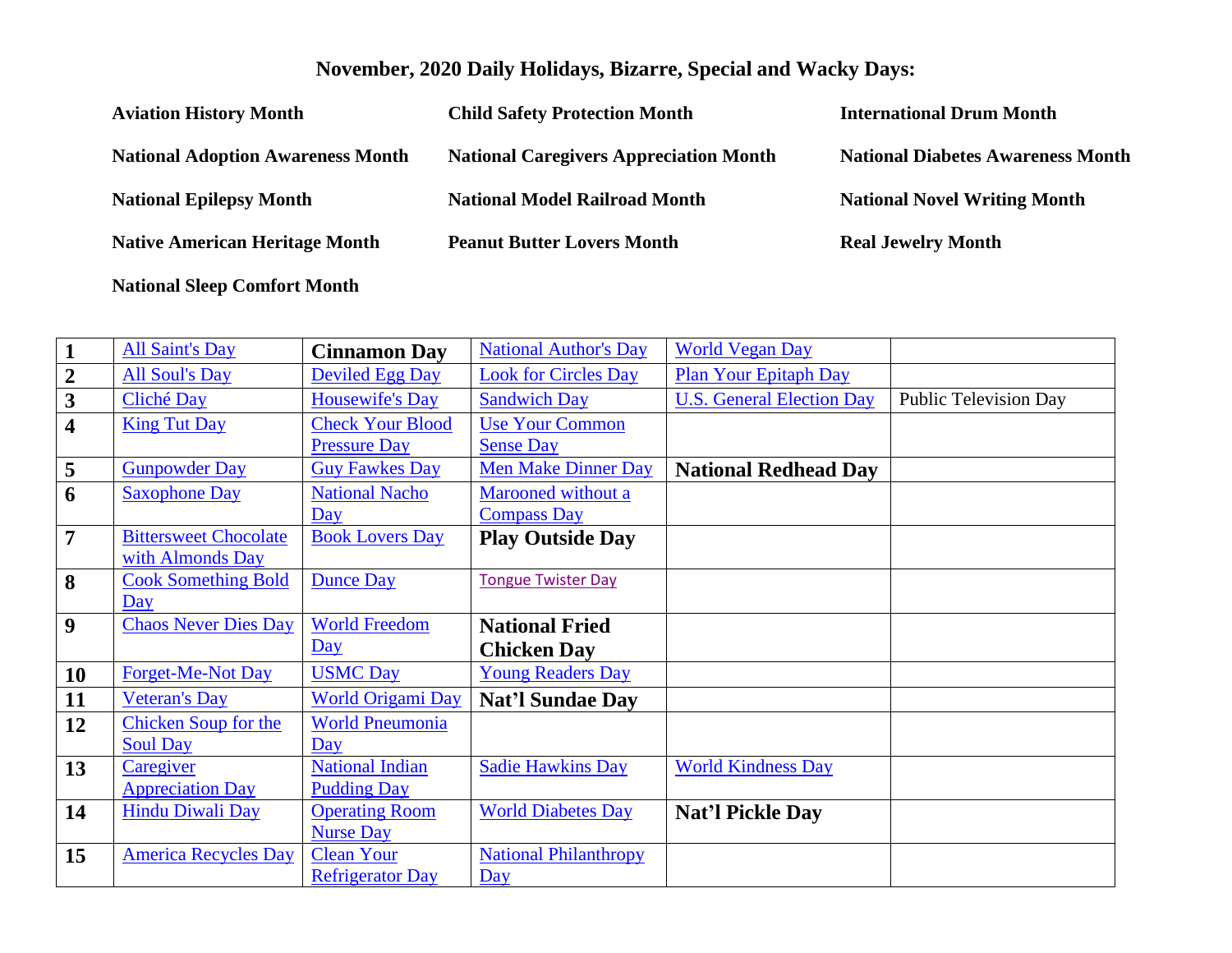## **November, 2020 Daily Holidays, Bizarre, Special and Wacky Days:**

| <b>Aviation History Month</b>            | <b>Child Safety Protection Month</b>          | <b>International Drum Month</b>          |
|------------------------------------------|-----------------------------------------------|------------------------------------------|
| <b>National Adoption Awareness Month</b> | <b>National Caregivers Appreciation Month</b> | <b>National Diabetes Awareness Month</b> |
| <b>National Epilepsy Month</b>           | <b>National Model Railroad Month</b>          | <b>National Novel Writing Month</b>      |
| <b>Native American Heritage Month</b>    | <b>Peanut Butter Lovers Month</b>             | <b>Real Jewelry Month</b>                |

**National Sleep Comfort Month** 

| $\mathbf{1}$            | <b>All Saint's Day</b>       | <b>Cinnamon Day</b>      | <b>National Author's Day</b> | <b>World Vegan Day</b>           |                              |
|-------------------------|------------------------------|--------------------------|------------------------------|----------------------------------|------------------------------|
| $\boldsymbol{2}$        | <b>All Soul's Day</b>        | <b>Deviled Egg Day</b>   | <b>Look for Circles Day</b>  | <b>Plan Your Epitaph Day</b>     |                              |
| $\overline{\mathbf{3}}$ | Cliché Day                   | <b>Housewife's Day</b>   | <b>Sandwich Day</b>          | <b>U.S. General Election Day</b> | <b>Public Television Day</b> |
| $\overline{\mathbf{4}}$ | <b>King Tut Day</b>          | <b>Check Your Blood</b>  | <b>Use Your Common</b>       |                                  |                              |
|                         |                              | <b>Pressure Day</b>      | <b>Sense Day</b>             |                                  |                              |
| $\overline{\mathbf{5}}$ | <b>Gunpowder Day</b>         | <b>Guy Fawkes Day</b>    | <b>Men Make Dinner Day</b>   | <b>National Redhead Day</b>      |                              |
| 6                       | <b>Saxophone Day</b>         | <b>National Nacho</b>    | Marooned without a           |                                  |                              |
|                         |                              | Day                      | <b>Compass Day</b>           |                                  |                              |
| $\overline{7}$          | <b>Bittersweet Chocolate</b> | <b>Book Lovers Day</b>   | <b>Play Outside Day</b>      |                                  |                              |
|                         | with Almonds Day             |                          |                              |                                  |                              |
| 8                       | <b>Cook Something Bold</b>   | <b>Dunce Day</b>         | <b>Tongue Twister Day</b>    |                                  |                              |
|                         | Day                          |                          |                              |                                  |                              |
|                         |                              |                          |                              |                                  |                              |
| $\boldsymbol{9}$        | <b>Chaos Never Dies Day</b>  | <b>World Freedom</b>     | <b>National Fried</b>        |                                  |                              |
|                         |                              | $\overline{Day}$         | <b>Chicken Day</b>           |                                  |                              |
| 10                      | <b>Forget-Me-Not Day</b>     | <b>USMC Day</b>          | <b>Young Readers Day</b>     |                                  |                              |
| 11                      | <b>Veteran's Day</b>         | <b>World Origami Day</b> | <b>Nat'l Sundae Day</b>      |                                  |                              |
| 12                      | <b>Chicken Soup for the</b>  | <b>World Pneumonia</b>   |                              |                                  |                              |
|                         | <b>Soul Day</b>              | Day                      |                              |                                  |                              |
| 13                      | Caregiver                    | <b>National Indian</b>   | <b>Sadie Hawkins Day</b>     | <b>World Kindness Day</b>        |                              |
|                         | <b>Appreciation Day</b>      | <b>Pudding Day</b>       |                              |                                  |                              |
| 14                      | <b>Hindu Diwali Day</b>      | <b>Operating Room</b>    | <b>World Diabetes Day</b>    | Nat'l Pickle Day                 |                              |
|                         |                              | <b>Nurse Day</b>         |                              |                                  |                              |
| 15                      | <b>America Recycles Day</b>  | <b>Clean Your</b>        | <b>National Philanthropy</b> |                                  |                              |